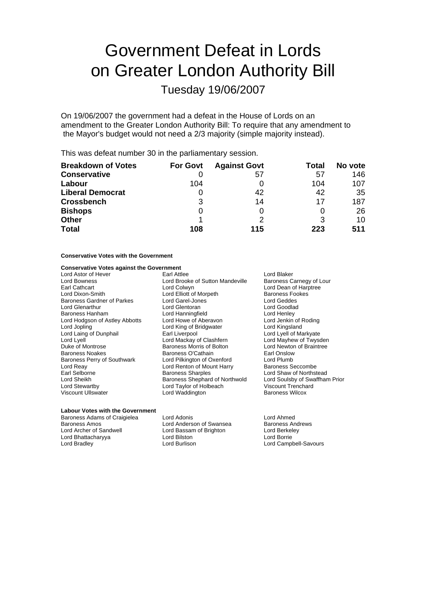# Government Defeat in Lords on Greater London Authority Bill

Tuesday 19/06/2007

On 19/06/2007 the government had a defeat in the House of Lords on an amendment to the Greater London Authority Bill: To require that any amendment to the Mayor's budget would not need a 2/3 majority (simple majority instead).

This was defeat number 30 in the parliamentary session.

| <b>Breakdown of Votes</b> | <b>For Govt</b> | <b>Against Govt</b> | Total | No vote |
|---------------------------|-----------------|---------------------|-------|---------|
| <b>Conservative</b>       |                 | 57                  | 57    | 146     |
| Labour                    | 104             |                     | 104   | 107     |
| <b>Liberal Democrat</b>   |                 | 42                  | 42    | 35      |
| <b>Crossbench</b>         | 3               | 14                  | 17    | 187     |
| <b>Bishops</b>            | 0               |                     |       | 26      |
| <b>Other</b>              |                 |                     |       | 10      |
| <b>Total</b>              | 108             | 115                 | 223   | 511     |

### **Conservative Votes with the Government**

## **Conservative Votes against the Government**

Lord Bowness Lord Brooke of Sutton Mandeville<br>
Earl Cathcart Lord Colwyn Baroness Gardner of Parkes Lord Laing of Dunphail Lord Reay **Lord Renton of Mount Harry Carl Renton** Cord Renton of Mount Harry **Earl Selborne** 

Lord Astor of Hever **Earl Attlee** Lord Blaker Lord Blaker<br>
Lord Bowness Carnegy of Lour
Lord Brooke of Sutton Mandeville Baroness Carnegy of Lour Earl Cathcart **Lord Colwyn**<br>
Lord Dixon-Smith **Lord Lord Colwyn**<br>
Lord Cliott of Morpeth **Lord Baroness Fookes** Lord Elliott of Morpeth Baroness Foot Cord Garel-Jones<br>
Lord Garel-Jones **Barones** Lord Glenarthur Lord Glentoran Lord Goodlad Baroness Hanham **Baroness Hanham Lord Hanningfield** Lord Henley<br>
Lord Howe of Aberavon Lord Howard Lord Howard Lord Hord Jenkin of Roding Lord Hodgson of Astley Abbotts Lord Howe of Aberavon Lord Jopling Lord Astley Abbotts Lord Kingsland<br>
Lord Cord Cord Kingsland Lord King of Bridgwater Lord Kingsland Lord Jopling The Lord King of Bridgwater Cord Kingsland<br>
Lord Laing of Dunphail Lord Earl Liverpool Carl Lord Lyell of Markyate Lord Lyell<br>
Lord Lyell Lord Mayhew of Twysden<br>
Duke of Montrose **Lord Mayhew of Twysden**<br>
Lord Newton of Braintree Baroness Morris of Bolton Baroness Noakes **Baroness O'Cathain**<br>Baroness Perry of Southwark Lord Pilkington of Oxenford Lord Plumb Baroness Perry of Southwark Lord Pilkington of Oxenford Lord Plumb Earl Selborne **Examples**<br>
Lord Shave of Northstead<br>
Lord Sharples Shephard of Northwold Lord Soulsby of Swaffham Prior Lord Sheikh Baroness Shephard of Northwold Lord Soulsby of Swa<br>Lord Stewartby Lord Taylor of Holbeach Viscount Trenchard Lord Taylor of Holbeach Viscount Ullswater Lord Waddington Baroness Wilcox

### **Labour Votes with the Government**

Baroness Adams of Craigielea Lord Adonis<br>
Lord Anderson of Swansea Baroness Andrews<br>
Lord Anderson of Swansea Baroness Andrews Baroness Amos<br>
Lord Archer of Sandwell<br>
Lord Bassam of Brighton<br>
Lord Bassam of Brighton Lord Bhattacharyya **Lord Bilston**<br>
Lord Bradlev **Lord Burlison** 

Lord Bassam of Brighton Lord Berkeley<br>
Lord Bilston Lord Borrie

Lord Campbell-Savours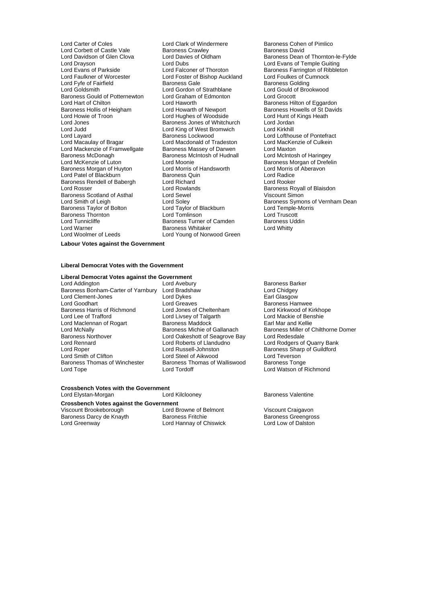Lord Carter of Coles **Lord Clark of Windermere** Baroness Cohen of Pimlico<br>
Lord Corbett of Castle Vale Baroness Crawley **Baroness David** Baroness David Lord Corbett of Castle Vale Baroness Crawley<br>
Lord Davidson of Glen Clova Lord Davies of Oldham Lord Drayson Lord Dubs Lord Evans of Temple Guiting Lord Evans of Parkside Lord Falconer of Thoroton Baroness Farrington of Ribbleton<br>Lord Faulkner of Worcester Lord Foster of Bishop Auckland Lord Foulkes of Cumnock Lord Fyfe of Fairfield **Baroness Gale** Baroness Golding<br>
Lord Goldsmith **Baroness Colding**<br>
Lord Goldsmith **Baroness Colding**<br>
Lord Goldsmith **Brookwood** Baroness Gould of Potternewton Lord Graham of Edmonton Lord Grocott Lord Hart of Chilton Lord Haworth Lord Haworth Baroness Hilton of Eggardon Lord Haworth Baroness Howells of St David<br>Baroness Hollis of Heigham Lord Howarth of Newport Baroness Howells of St David Baroness Hollis of Heigham Lord Howarth of Newport Baroness Howells of St Davids<br>
Lord Howie of Troon Lord Hughes of Woodside Lord Hunt of Kings Heath Lord Howie of Troon Lord Hughes of Woodside Lord Hunt of Lord Hunt of Lord Hunt of Cord Hunt of Baroness Jones of Whitchurch Lord Jordan Lord Jones Baroness Jones of Whitchurch Lord Jordan Lord Layard **Baroness Lockwood** Lord Lofthouse of Pontefract<br>
Lord Macaulay of Bragar Lord Macdonald of Tradeston Lord MacKenzie of Culkein Lord Mackenzie of Framwellgate Baroness Massey of Darwen Lord Maxton<br>Baroness McDonagh Baroness McIntosh of Hudnall Lord McIntosh of Haringey Baroness McDonagh<br>
Lord McKenzie of Luton<br>
Lord Moonie<br>
Lord Moonie Baroness Morgan of Huyton Lord Morris of Handsworth Lord Morris of Aberavon Lord Morris of Aberavon Lord Radice<br>Lord Patel of Blackburn Lord Radice Lord Patel of Blackburn Baroness Rendell of Babergh Lord Richard Lord Rooker Baroness Scotland of Asthal Lord Sewel<br>
Lord Smith of Leigh Cord Soley Baroness Taylor of Bolton Lord Taylor of Blackburn and Lord Temple-<br>
Baroness Thornton Correspond Lord Tomlinson Lord Truscott Baroness Thornton Lord Tomlinson Lord Truscott Lord Warner **Baroness Whitaker Community** Lord Whitty<br>
Lord Woolmer of Leeds **Lord Young of Norwood Green** 

Lord Foster of Bishop Auckland Lord Foulkes of Cumnocks Gale<br>Baroness Gale Baroness Golding Lord Gordon of Strathblane<br>Lord Graham of Edmonton Lord King of West Bromwich Lord Macdonald of Tradeston Lord MacKer<br>Baroness Massey of Darwen Lord Maxton Lord Moonie<br>
Lord Morris of Handsworth<br>
Lord Morris of Aberavon Lord Rowlands **Baroness Royall of Blaisdon**<br>
Lord Sewel **Baroness Royall of Blaisdon** Baroness Turner of Camden Lord Young of Norwood Green

Lord Davies of Oldham Baroness Dean of Thornton-le-Fylde<br>Lord Dubs<br>Barones of Thomas of Temple Guiting Lord Soley **Common Common Common Baroness Symons of Vernham Dean**<br>
Lord Taylor of Blackburn **Common Common Lord Temple-Morris** 

**Labour Votes against the Government**

### **Liberal Democrat Votes with the Government**

### **Liberal Democrat Votes against the Government**

Lord Addington **Lord Avebury**<br>
Baroness Bonham-Carter of Yarnbury Lord Bradshaw **Baroness Bonham-Carter of Yarnbury Lord Bradshaw** Lord Chidgey Baroness Bonham-Carter of Yarnbury Lord Bradshaw Lord Chidgey Lord Clement-Jones<br>
Lord Goodhart **Lord Greaves**<br>
Lord Greaves Lord Goodhart **Lord Greaves** Communist Caroless Hamwee<br>Baroness Harris of Richmond Lord Jones of Cheltenham Lord Kirkwood of Kirkhope Baroness Harris of Richmond Lord Jones of Cheltenham Lord Kirkwood of Kirkho<br>
Lord Lee of Trafford Lord Livsey of Talgarth Lord Mackie of Benshie Lord Maclennan of Rogart Baroness Maddock<br>
Baroness Michie of Gallanach<br>
Baroness Michie of Gallanach Baroness Northover **Lord Oakeshott of Seagrove Bay** Lord Redesdale<br>
Lord Rennard **Lord Roberts of Llandudno** Lord Rodaers of Lord Rennard Lord Roberts of Llandudno Lord Rodgers of Quarry Bank Lord Roper Lord Russell-Johnston Baroness Sharp of Guildford Lord Smith of Clifton Lord Steel of Aikwood Lord Steel Cord Ceverson<br>Baroness Thomas of Winchester Baroness Thomas of Walliswood Baroness Tonge

Lord Livsey of Talgarth Lord Mackie of Ben<br>
Baroness Maddock Lord Earl Mar and Kellie Baroness Thomas of Walliswood<br>Lord Tordoff Lord Tope Lord Tordoff Lord Watson of Richmond

# Lord McNally **Baroness Michie of Gallanach** Baroness Miller of Chilthorne Domer<br>Baroness Northover Lord Oakeshott of Seagrove Bay Lord Redesdale

# **Crossbench Votes with the Government**

Lord Elystan-Morgan **Markor Lord Kilclooney Baroness Valentine** 

# **Crossbench Votes against the Government**

Baroness Darcy de Knayth Baroness Fritchie Baroness Greengross<br>
Lord Greenway **Baroness Containers Act Alliens**<br>
Lord Greenway **Baroness Containers Act Alliens** Containers Act Alliens Lord Low of Dalston

Viscount Brookeborough Lord Browne of Belmont Viscount Craigavon Lord Hannay of Chiswick